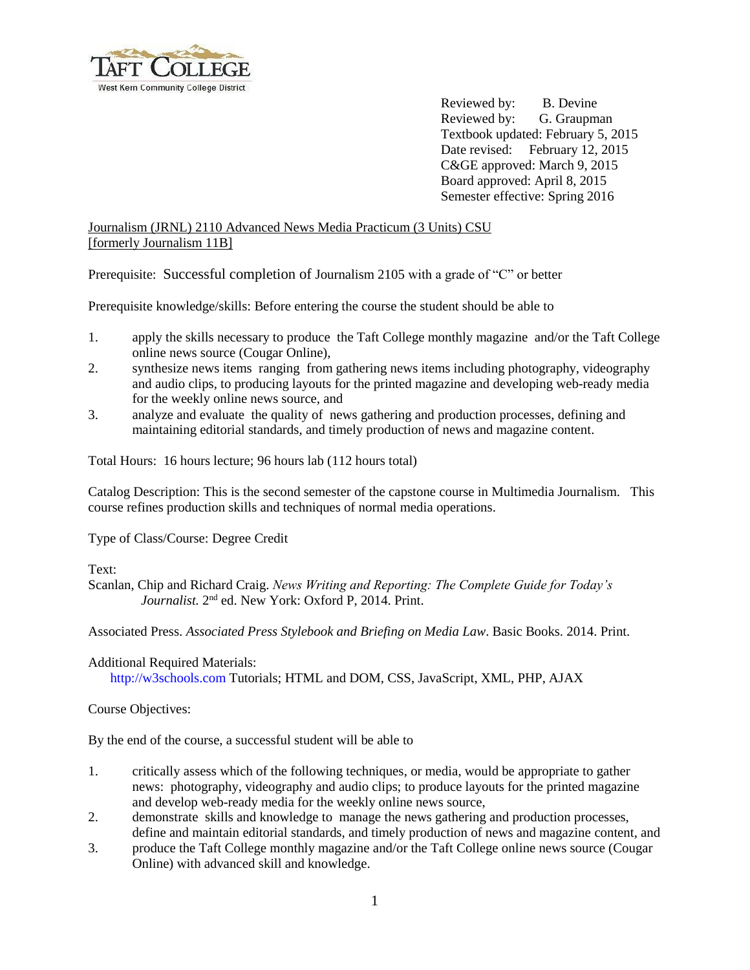

Reviewed by: B. Devine Reviewed by: G. Graupman Textbook updated: February 5, 2015 Date revised: February 12, 2015 C&GE approved: March 9, 2015 Board approved: April 8, 2015 Semester effective: Spring 2016

# Journalism (JRNL) 2110 Advanced News Media Practicum (3 Units) CSU [formerly Journalism 11B]

Prerequisite: Successful completion of Journalism 2105 with a grade of "C" or better

Prerequisite knowledge/skills: Before entering the course the student should be able to

- 1. apply the skills necessary to produce the Taft College monthly magazine and/or the Taft College online news source (Cougar Online),
- 2. synthesize news items ranging from gathering news items including photography, videography and audio clips, to producing layouts for the printed magazine and developing web-ready media for the weekly online news source, and
- 3. analyze and evaluate the quality of news gathering and production processes, defining and maintaining editorial standards, and timely production of news and magazine content.

Total Hours: 16 hours lecture; 96 hours lab (112 hours total)

Catalog Description: This is the second semester of the capstone course in Multimedia Journalism. This course refines production skills and techniques of normal media operations.

Type of Class/Course: Degree Credit

## Text:

Scanlan, Chip and Richard Craig. *News Writing and Reporting: The Complete Guide for Today's*  Journalist. 2<sup>nd</sup> ed. New York: Oxford P, 2014. Print.

Associated Press. *Associated Press Stylebook and Briefing on Media Law*. Basic Books. 2014. Print.

## Additional Required Materials:

[http://w3schools.com](http://w3schools.com/) Tutorials; HTML and DOM, CSS, JavaScript, XML, PHP, AJAX

# Course Objectives:

By the end of the course, a successful student will be able to

- 1. critically assess which of the following techniques, or media, would be appropriate to gather news: photography, videography and audio clips; to produce layouts for the printed magazine and develop web-ready media for the weekly online news source,
- 2. demonstrate skills and knowledge to manage the news gathering and production processes, define and maintain editorial standards, and timely production of news and magazine content, and
- 3. produce the Taft College monthly magazine and/or the Taft College online news source (Cougar Online) with advanced skill and knowledge.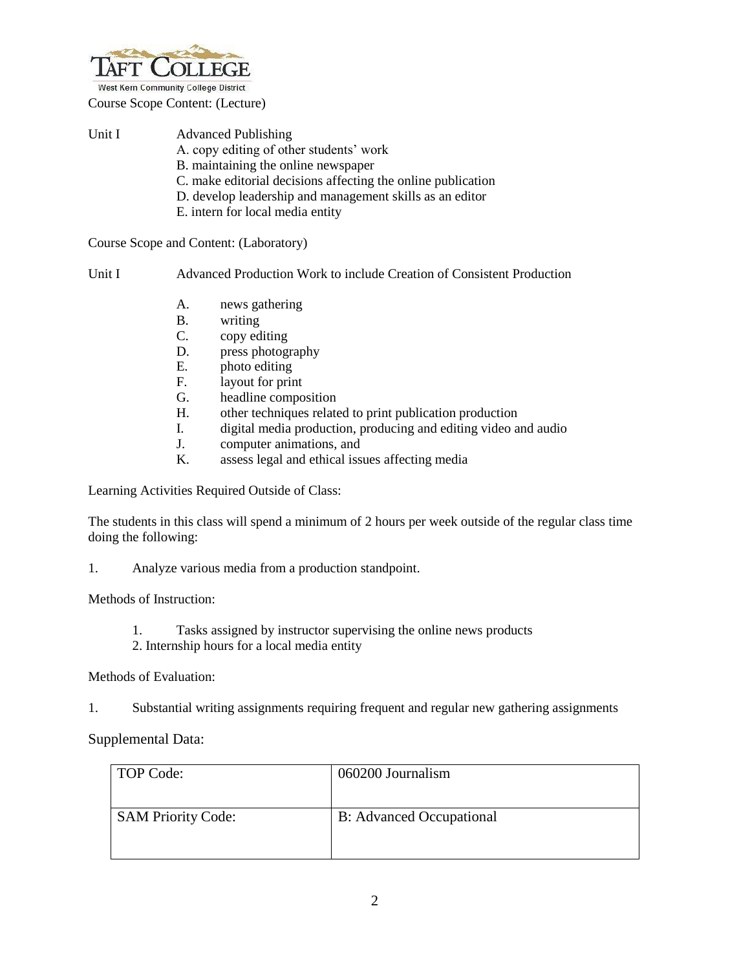

West Kern Community College District

Course Scope Content: (Lecture)

| Unit I | <b>Advanced Publishing</b>                                   |
|--------|--------------------------------------------------------------|
|        | A. copy editing of other students' work                      |
|        | B. maintaining the online newspaper                          |
|        | C. make editorial decisions affecting the online publication |
|        | D. develop leadership and management skills as an editor     |
|        | E. intern for local media entity                             |
|        |                                                              |

Course Scope and Content: (Laboratory)

Unit I Advanced Production Work to include Creation of Consistent Production

- A. news gathering
- B. writing
- C. copy editing
- D. press photography
- E. photo editing
- F. layout for print
- G. headline composition
- H. other techniques related to print publication production
- I. digital media production, producing and editing video and audio
- J. computer animations, and <br>K. assess legal and ethical issues
- assess legal and ethical issues affecting media

Learning Activities Required Outside of Class:

The students in this class will spend a minimum of 2 hours per week outside of the regular class time doing the following:

1. Analyze various media from a production standpoint.

Methods of Instruction:

- 1. Tasks assigned by instructor supervising the online news products
- 2. Internship hours for a local media entity

#### Methods of Evaluation:

1. Substantial writing assignments requiring frequent and regular new gathering assignments

Supplemental Data:

| TOP Code:                 | 060200 Journalism               |
|---------------------------|---------------------------------|
| <b>SAM Priority Code:</b> | <b>B:</b> Advanced Occupational |